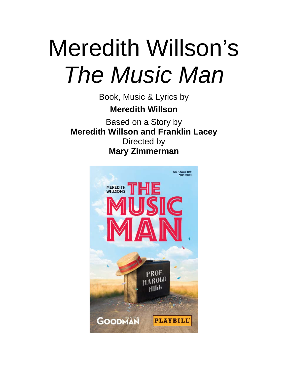# Meredith Willson's *The Music Man*

Book, Music & Lyrics by **Meredith Willson**

Based on a Story by **Meredith Willson and Franklin Lacey** Directed by **Mary Zimmerman**

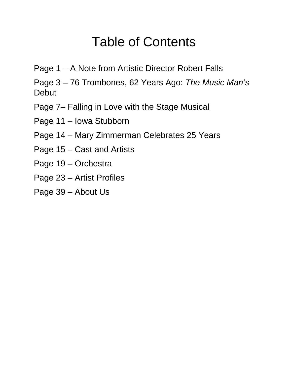### Table of Contents

- Page 1 A Note from Artistic Director Robert Falls
- Page 3 76 Trombones, 62 Years Ago: *The Music Man's* Debut
- Page 7– Falling in Love with the Stage Musical
- Page 11 Iowa Stubborn
- Page 14 Mary Zimmerman Celebrates 25 Years
- Page 15 Cast and Artists
- Page 19 Orchestra
- Page 23 Artist Profiles
- Page 39 About Us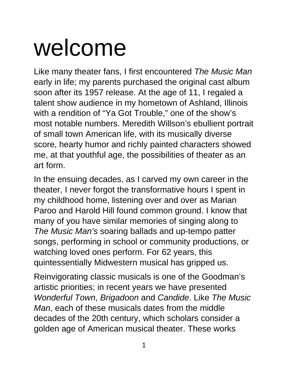## welcome

Like many theater fans, I first encountered *The Music Man* early in life; my parents purchased the original cast album soon after its 1957 release. At the age of 11, I regaled a talent show audience in my hometown of Ashland, Illinois with a rendition of "Ya Got Trouble," one of the show's most notable numbers. Meredith Willson's ebullient portrait of small town American life, with its musically diverse score, hearty humor and richly painted characters showed me, at that youthful age, the possibilities of theater as an art form.

In the ensuing decades, as I carved my own career in the theater, I never forgot the transformative hours I spent in my childhood home, listening over and over as Marian Paroo and Harold Hill found common ground. I know that many of you have similar memories of singing along to *The Music Man's* soaring ballads and up-tempo patter songs, performing in school or community productions, or watching loved ones perform. For 62 years, this quintessentially Midwestern musical has gripped us.

Reinvigorating classic musicals is one of the Goodman's artistic priorities; in recent years we have presented *Wonderful Town*, *Brigadoon* and *Candide*. Like *The Music Man*, each of these musicals dates from the middle decades of the 20th century, which scholars consider a golden age of American musical theater. These works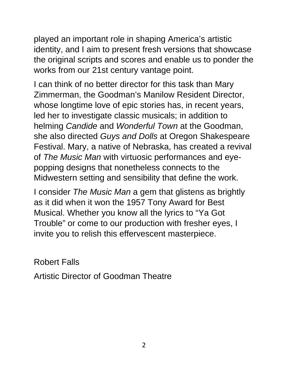played an important role in shaping America's artistic identity, and I aim to present fresh versions that showcase the original scripts and scores and enable us to ponder the works from our 21st century vantage point.

I can think of no better director for this task than Mary Zimmerman, the Goodman's Manilow Resident Director, whose longtime love of epic stories has, in recent years, led her to investigate classic musicals; in addition to helming *Candide* and *Wonderful Town* at the Goodman, she also directed *Guys and Dolls* at Oregon Shakespeare Festival. Mary, a native of Nebraska, has created a revival of *The Music Man* with virtuosic performances and eyepopping designs that nonetheless connects to the Midwestern setting and sensibility that define the work.

I consider *The Music Man* a gem that glistens as brightly as it did when it won the 1957 Tony Award for Best Musical. Whether you know all the lyrics to "Ya Got Trouble" or come to our production with fresher eyes, I invite you to relish this effervescent masterpiece.

Robert Falls

Artistic Director of Goodman Theatre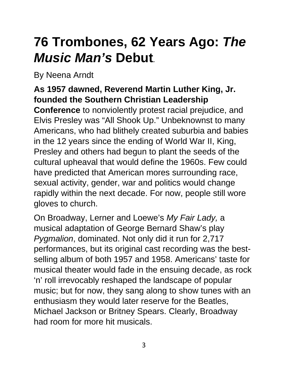## **76 Trombones, 62 Years Ago:** *The Music Man's* **Debut***.*

By Neena Arndt

#### **As 1957 dawned, Reverend Martin Luther King, Jr. founded the Southern Christian Leadership**

**Conference** to nonviolently protest racial prejudice, and Elvis Presley was "All Shook Up." Unbeknownst to many Americans, who had blithely created suburbia and babies in the 12 years since the ending of World War II, King, Presley and others had begun to plant the seeds of the cultural upheaval that would define the 1960s. Few could have predicted that American mores surrounding race, sexual activity, gender, war and politics would change rapidly within the next decade. For now, people still wore gloves to church.

On Broadway, Lerner and Loewe's *My Fair Lady,* a musical adaptation of George Bernard Shaw's play *Pygmalion*, dominated. Not only did it run for 2,717 performances, but its original cast recording was the bestselling album of both 1957 and 1958. Americans' taste for musical theater would fade in the ensuing decade, as rock 'n' roll irrevocably reshaped the landscape of popular music; but for now, they sang along to show tunes with an enthusiasm they would later reserve for the Beatles, Michael Jackson or Britney Spears. Clearly, Broadway had room for more hit musicals.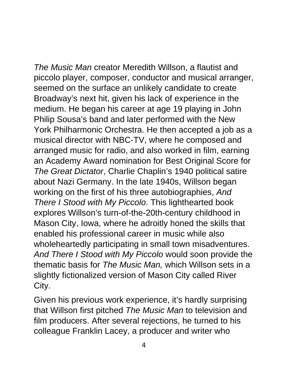*The Music Man* creator Meredith Willson, a flautist and piccolo player, composer, conductor and musical arranger, seemed on the surface an unlikely candidate to create Broadway's next hit, given his lack of experience in the medium. He began his career at age 19 playing in John Philip Sousa's band and later performed with the New York Philharmonic Orchestra. He then accepted a job as a musical director with NBC-TV, where he composed and arranged music for radio, and also worked in film, earning an Academy Award nomination for Best Original Score for *The Great Dictator*, Charlie Chaplin's 1940 political satire about Nazi Germany. In the late 1940s, Willson began working on the first of his three autobiographies, *And There I Stood with My Piccolo*. This lighthearted book explores Willson's turn-of-the-20th-century childhood in Mason City, Iowa, where he adroitly honed the skills that enabled his professional career in music while also wholeheartedly participating in small town misadventures. *And There I Stood with My Piccolo* would soon provide the thematic basis for *The Music Man,* which Willson sets in a slightly fictionalized version of Mason City called River City.

Given his previous work experience, it's hardly surprising that Willson first pitched *The Music Man* to television and film producers. After several rejections, he turned to his colleague Franklin Lacey, a producer and writer who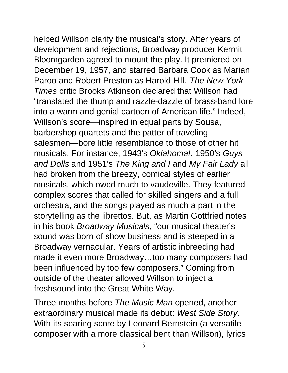helped Willson clarify the musical's story. After years of development and rejections, Broadway producer Kermit Bloomgarden agreed to mount the play. It premiered on December 19, 1957, and starred Barbara Cook as Marian Paroo and Robert Preston as Harold Hill. *The New York Times* critic Brooks Atkinson declared that Willson had "translated the thump and razzle-dazzle of brass-band lore into a warm and genial cartoon of American life." Indeed, Willson's score—inspired in equal parts by Sousa, barbershop quartets and the patter of traveling salesmen—bore little resemblance to those of other hit musicals. For instance, 1943's *Oklahoma!*, 1950's *Guys and Dolls* and 1951's *The King and I* and *My Fair Lady* all had broken from the breezy, comical styles of earlier musicals, which owed much to vaudeville. They featured complex scores that called for skilled singers and a full orchestra, and the songs played as much a part in the storytelling as the librettos. But, as Martin Gottfried notes in his book *Broadway Musicals*, "our musical theater's sound was born of show business and is steeped in a

outside of the theater allowed Willson to inject a freshsound into the Great White Way. Three months before *The Music Man* opened, another extraordinary musical made its debut: *West Side Story*. With its soaring score by Leonard Bernstein (a versatile

Broadway vernacular. Years of artistic inbreeding had

been influenced by too few composers." Coming from

made it even more Broadway…too many composers had

composer with a more classical bent than Willson), lyrics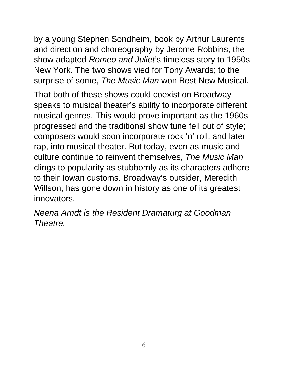by a young Stephen Sondheim, book by Arthur Laurents and direction and choreography by Jerome Robbins, the show adapted *Romeo and Juliet*'s timeless story to 1950s New York. The two shows vied for Tony Awards; to the surprise of some, *The Music Man* won Best New Musical.

That both of these shows could coexist on Broadway speaks to musical theater's ability to incorporate different musical genres. This would prove important as the 1960s progressed and the traditional show tune fell out of style; composers would soon incorporate rock 'n' roll, and later rap, into musical theater. But today, even as music and culture continue to reinvent themselves, *The Music Man*  clings to popularity as stubbornly as its characters adhere to their Iowan customs. Broadway's outsider, Meredith Willson, has gone down in history as one of its greatest innovators.

*Neena Arndt is the Resident Dramaturg at Goodman Theatre.*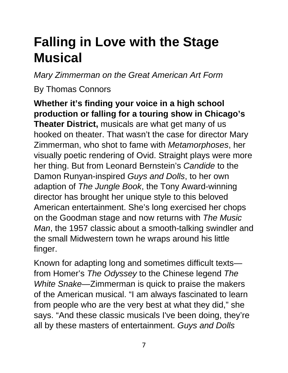## **Falling in Love with the Stage Musical**

*Mary Zimmerman on the Great American Art Form*

By Thomas Connors

**Whether it's finding your voice in a high school production or falling for a touring show in Chicago's Theater District,** musicals are what get many of us hooked on theater. That wasn't the case for director Mary Zimmerman, who shot to fame with *Metamorphoses*, her visually poetic rendering of Ovid. Straight plays were more her thing. But from Leonard Bernstein's *Candide* to the Damon Runyan-inspired *Guys and Dolls*, to her own adaption of *The Jungle Book*, the Tony Award-winning director has brought her unique style to this beloved American entertainment. She's long exercised her chops on the Goodman stage and now returns with *The Music Man*, the 1957 classic about a smooth-talking swindler and the small Midwestern town he wraps around his little finger.

Known for adapting long and sometimes difficult texts from Homer's *The Odyssey* to the Chinese legend *The White Snake*—Zimmerman is quick to praise the makers of the American musical. "I am always fascinated to learn from people who are the very best at what they did," she says. "And these classic musicals I've been doing, they're all by these masters of entertainment. *Guys and Dolls*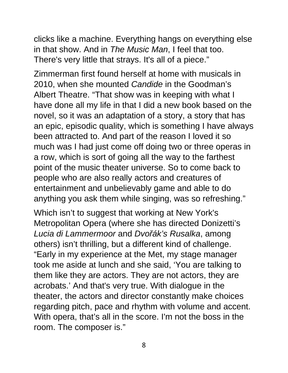clicks like a machine. Everything hangs on everything else in that show. And in *The Music Man*, I feel that too. There's very little that strays. It's all of a piece."

Zimmerman first found herself at home with musicals in 2010, when she mounted *Candide* in the Goodman's Albert Theatre. "That show was in keeping with what I have done all my life in that I did a new book based on the novel, so it was an adaptation of a story, a story that has an epic, episodic quality, which is something I have always been attracted to. And part of the reason I loved it so much was I had just come off doing two or three operas in a row, which is sort of going all the way to the farthest point of the music theater universe. So to come back to people who are also really actors and creatures of entertainment and unbelievably game and able to do anything you ask them while singing, was so refreshing."

Which isn't to suggest that working at New York's Metropolitan Opera (where she has directed Donizetti's *Lucia di Lammermoor* and *Dvořák's Rusalka*, among others) isn't thrilling, but a different kind of challenge. "Early in my experience at the Met, my stage manager took me aside at lunch and she said, 'You are talking to them like they are actors. They are not actors, they are acrobats.' And that's very true. With dialogue in the theater, the actors and director constantly make choices regarding pitch, pace and rhythm with volume and accent. With opera, that's all in the score. I'm not the boss in the room. The composer is."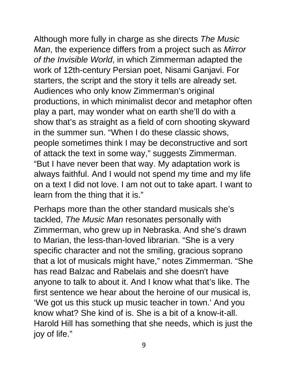Although more fully in charge as she directs *The Music Man*, the experience differs from a project such as *Mirror of the Invisible World*, in which Zimmerman adapted the work of 12th-century Persian poet, Nisami Ganjavi. For starters, the script and the story it tells are already set. Audiences who only know Zimmerman's original productions, in which minimalist decor and metaphor often play a part, may wonder what on earth she'll do with a show that's as straight as a field of corn shooting skyward in the summer sun. "When I do these classic shows, people sometimes think I may be deconstructive and sort of attack the text in some way," suggests Zimmerman. "But I have never been that way. My adaptation work is always faithful. And I would not spend my time and my life on a text I did not love. I am not out to take apart. I want to learn from the thing that it is."

Perhaps more than the other standard musicals she's tackled, *The Music Man* resonates personally with Zimmerman, who grew up in Nebraska. And she's drawn to Marian, the less-than-loved librarian. "She is a very specific character and not the smiling, gracious soprano that a lot of musicals might have," notes Zimmerman. "She has read Balzac and Rabelais and she doesn't have anyone to talk to about it. And I know what that's like. The first sentence we hear about the heroine of our musical is, 'We got us this stuck up music teacher in town.' And you know what? She kind of is. She is a bit of a know-it-all. Harold Hill has something that she needs, which is just the joy of life."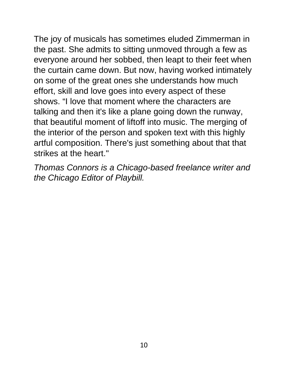The joy of musicals has sometimes eluded Zimmerman in the past. She admits to sitting unmoved through a few as everyone around her sobbed, then leapt to their feet when the curtain came down. But now, having worked intimately on some of the great ones she understands how much effort, skill and love goes into every aspect of these shows. "I love that moment where the characters are talking and then it's like a plane going down the runway, that beautiful moment of liftoff into music. The merging of the interior of the person and spoken text with this highly artful composition. There's just something about that that strikes at the heart."

*Thomas Connors is a Chicago-based freelance writer and the Chicago Editor of Playbill.*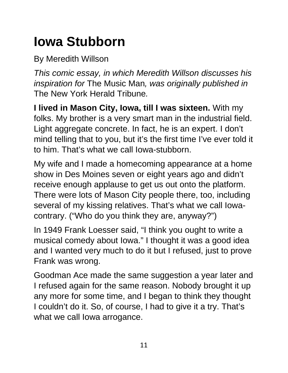## **Iowa Stubborn**

By Meredith Willson

*This comic essay, in which Meredith Willson discusses his inspiration for* The Music Man*, was originally published in*  The New York Herald Tribune*.*

**I lived in Mason City, Iowa, till I was sixteen.** With my folks. My brother is a very smart man in the industrial field. Light aggregate concrete. In fact, he is an expert. I don't mind telling that to you, but it's the first time I've ever told it to him. That's what we call Iowa-stubborn.

My wife and I made a homecoming appearance at a home show in Des Moines seven or eight years ago and didn't receive enough applause to get us out onto the platform. There were lots of Mason City people there, too, including several of my kissing relatives. That's what we call Iowacontrary. ("Who do you think they are, anyway?")

In 1949 Frank Loesser said, "I think you ought to write a musical comedy about Iowa." I thought it was a good idea and I wanted very much to do it but I refused, just to prove Frank was wrong.

Goodman Ace made the same suggestion a year later and I refused again for the same reason. Nobody brought it up any more for some time, and I began to think they thought I couldn't do it. So, of course, I had to give it a try. That's what we call Iowa arrogance.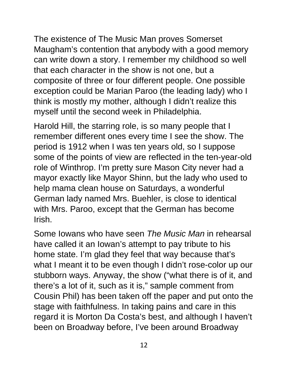The existence of The Music Man proves Somerset Maugham's contention that anybody with a good memory can write down a story. I remember my childhood so well that each character in the show is not one, but a composite of three or four different people. One possible exception could be Marian Paroo (the leading lady) who I think is mostly my mother, although I didn't realize this myself until the second week in Philadelphia.

Harold Hill, the starring role, is so many people that I remember different ones every time I see the show. The period is 1912 when I was ten years old, so I suppose some of the points of view are reflected in the ten-year-old role of Winthrop. I'm pretty sure Mason City never had a mayor exactly like Mayor Shinn, but the lady who used to help mama clean house on Saturdays, a wonderful German lady named Mrs. Buehler, is close to identical with Mrs. Paroo, except that the German has become Irish.

Some Iowans who have seen *The Music Man* in rehearsal have called it an Iowan's attempt to pay tribute to his home state. I'm glad they feel that way because that's what I meant it to be even though I didn't rose-color up our stubborn ways. Anyway, the show ("what there is of it, and there's a lot of it, such as it is," sample comment from Cousin Phil) has been taken off the paper and put onto the stage with faithfulness. In taking pains and care in this regard it is Morton Da Costa's best, and although I haven't been on Broadway before, I've been around Broadway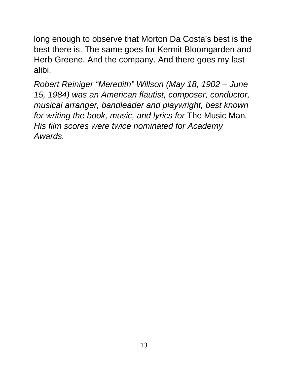long enough to observe that Morton Da Costa's best is the best there is. The same goes for Kermit Bloomgarden and Herb Greene. And the company. And there goes my last alibi.

*Robert Reiniger "Meredith" Willson (May 18, 1902 – June 15, 1984) was an American flautist, composer, conductor, musical arranger, bandleader and playwright, best known for writing the book, music, and lyrics for* The Music Man*. His film scores were twice nominated for Academy Awards.*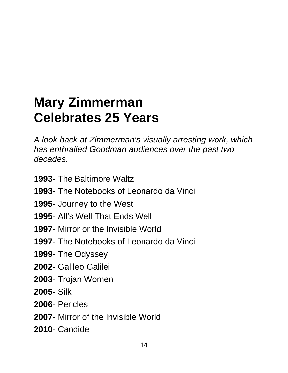### **Mary Zimmerman Celebrates 25 Years**

*A look back at Zimmerman's visually arresting work, which has enthralled Goodman audiences over the past two decades.*

- The Baltimore Waltz
- The Notebooks of Leonardo da Vinci
- Journey to the West
- All's Well That Ends Well
- Mirror or the Invisible World
- The Notebooks of Leonardo da Vinci
- The Odyssey
- Galileo Galilei
- Trojan Women
- Silk
- Pericles
- Mirror of the Invisible World
- Candide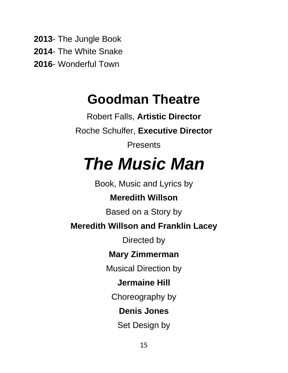**2013**- The Jungle Book **2014**- The White Snake **2016**- Wonderful Town

### **Goodman Theatre**

Robert Falls, **Artistic Director** Roche Schulfer, **Executive Director** Presents *The Music Man* Book, Music and Lyrics by **Meredith Willson** Based on a Story by **Meredith Willson and Franklin Lacey** Directed by **Mary Zimmerman** Musical Direction by **Jermaine Hill** Choreography by **Denis Jones** Set Design by

15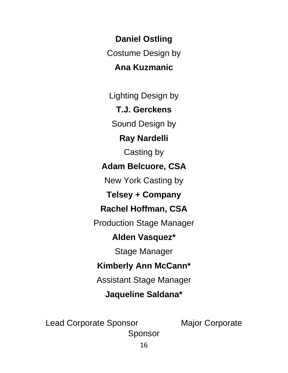**Daniel Ostling** Costume Design by **Ana Kuzmanic**

Lighting Design by

**T.J. Gerckens**

Sound Design by

**Ray Nardelli**

Casting by

#### **Adam Belcuore, CSA**

New York Casting by

**Telsey + Company** 

#### **Rachel Hoffman, CSA**

Production Stage Manager

#### **Alden Vasquez\***

Stage Manager

#### **Kimberly Ann McCann\***

Assistant Stage Manager

#### **Jaqueline Saldana\***

Lead Corporate Sponsor Major Corporate Sponsor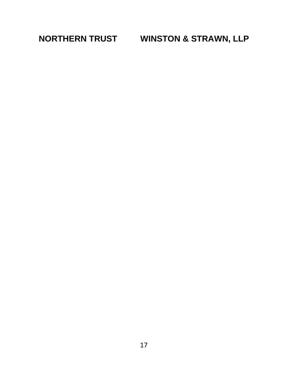**NORTHERN TRUST WINSTON & STRAWN, LLP**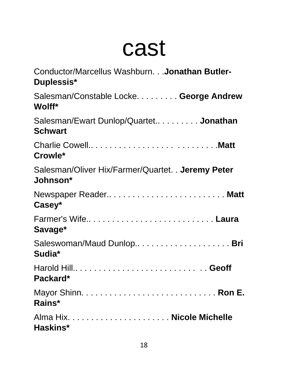## cast

| Conductor/Marcellus Washburn. Jonathan Butler-<br>Duplessis*   |
|----------------------------------------------------------------|
| Salesman/Constable Locke. George Andrew<br>Wolff*              |
| Salesman/Ewart Dunlop/Quartet Jonathan<br><b>Schwart</b>       |
| Crowle*                                                        |
| Salesman/Oliver Hix/Farmer/Quartet. . Jeremy Peter<br>Johnson* |
| Newspaper Reader Matt<br>Casey*                                |
| Farmer's WifeLaura<br>Savage*                                  |
| Sudia*                                                         |
| Harold Hill Geoff<br>Packard*                                  |
| Rains*                                                         |
| Haskins*                                                       |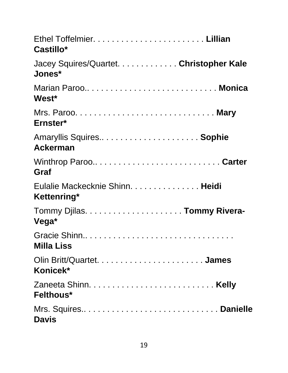| Castillo*                                                                                                                                                                                                                          |
|------------------------------------------------------------------------------------------------------------------------------------------------------------------------------------------------------------------------------------|
| Jacey Squires/Quartet. Christopher Kale<br>Jones*                                                                                                                                                                                  |
| Marian Paroo Monica<br>West*                                                                                                                                                                                                       |
| Ernster*                                                                                                                                                                                                                           |
| Amaryllis Squires Sophie<br><b>Ackerman</b>                                                                                                                                                                                        |
| Graf                                                                                                                                                                                                                               |
| Eulalie Mackecknie Shinn. Heidi<br>Kettenring*                                                                                                                                                                                     |
| Vega*                                                                                                                                                                                                                              |
| <b>Milla Liss Millange State State State State State State State State State State State State State State State State State State State State State State State State State State State State State State State State State S</b> |
| Konicek*                                                                                                                                                                                                                           |
| Felthous*                                                                                                                                                                                                                          |
| <b>Davis</b>                                                                                                                                                                                                                       |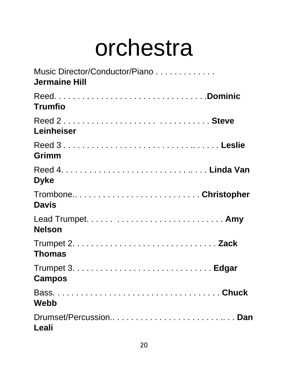## orchestra

| Music Director/Conductor/Piano<br><b>Jermaine Hill</b> |
|--------------------------------------------------------|
| <b>Trumfio</b>                                         |
| Leinheiser                                             |
| Grimm                                                  |
| <b>Dyke</b>                                            |
| TromboneChristopher<br><b>Davis</b>                    |
| <b>Nelson</b>                                          |
| <b>Thomas</b>                                          |
| <b>Campos</b>                                          |
| <b>Webb</b>                                            |
| Drumset/PercussionDan<br>Leali                         |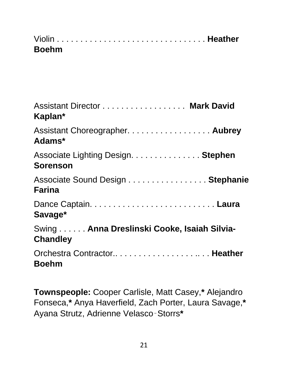| <b>Boehm</b> |  |
|--------------|--|

| Assistant Director Mark David<br>Kaplan*                       |
|----------------------------------------------------------------|
| Assistant Choreographer. Aubrey<br>Adams*                      |
| Associate Lighting Design. Stephen<br><b>Sorenson</b>          |
| Associate Sound Design Stephanie<br><b>Farina</b>              |
| Savage*                                                        |
| Swing Anna Dreslinski Cooke, Isaiah Silvia-<br><b>Chandley</b> |
| Orchestra Contractor Heather<br><b>Boehm</b>                   |

**Townspeople:** Cooper Carlisle, Matt Casey,**\*** Alejandro Fonseca,**\*** Anya Haverfield, Zach Porter, Laura Savage,**\***  Ayana Strutz, Adrienne Velasco‑Storrs**\***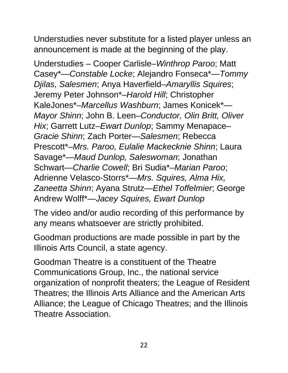Understudies never substitute for a listed player unless an announcement is made at the beginning of the play.

Understudies – Cooper Carlisle–*Winthrop Paroo*; Matt Casey\*—*Constable Locke*; Alejandro Fonseca\*—*Tommy Djilas, Salesmen*; Anya Haverfield–*Amaryllis Squires*; Jeremy Peter Johnson\*–*Harold Hill*; Christopher KaleJones\*–*Marcellus Washburn*; James Konicek\*— *Mayor Shinn*; John B. Leen–*Conductor, Olin Britt, Oliver Hix*; Garrett Lutz–*Ewart Dunlop*; Sammy Menapace– *Gracie Shinn*; Zach Porter—*Salesmen*; Rebecca Prescott\*–*Mrs. Paroo, Eulalie Mackecknie Shinn*; Laura Savage\*—*Maud Dunlop, Saleswoman*; Jonathan Schwart—*Charlie Cowell*; Bri Sudia\*–*Marian Paroo*; Adrienne Velasco-Storrs\*—*Mrs. Squires, Alma Hix, Zaneetta Shinn*; Ayana Strutz—*Ethel Toffelmier*; George Andrew Wolff\*—*Jacey Squires, Ewart Dunlop*

The video and/or audio recording of this performance by any means whatsoever are strictly prohibited.

Goodman productions are made possible in part by the Illinois Arts Council, a state agency.

Goodman Theatre is a constituent of the Theatre Communications Group, Inc., the national service organization of nonprofit theaters; the League of Resident Theatres; the Illinois Arts Alliance and the American Arts Alliance; the League of Chicago Theatres; and the Illinois Theatre Association.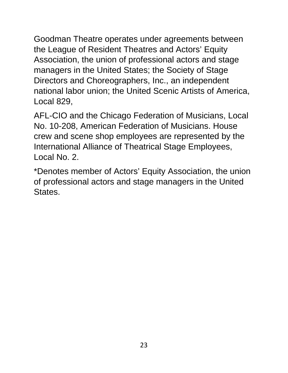Goodman Theatre operates under agreements between the League of Resident Theatres and Actors' Equity Association, the union of professional actors and stage managers in the United States; the Society of Stage Directors and Choreographers, Inc., an independent national labor union; the United Scenic Artists of America, Local 829,

AFL-CIO and the Chicago Federation of Musicians, Local No. 10-208, American Federation of Musicians. House crew and scene shop employees are represented by the International Alliance of Theatrical Stage Employees, Local No. 2.

\*Denotes member of Actors' Equity Association, the union of professional actors and stage managers in the United States.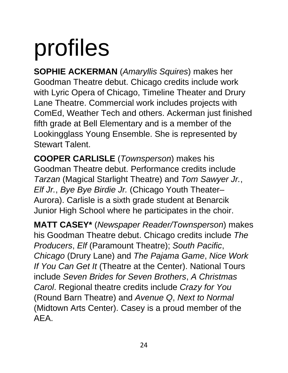# profiles

**SOPHIE ACKERMAN** (*Amaryllis Squires*) makes her Goodman Theatre debut. Chicago credits include work with Lyric Opera of Chicago, Timeline Theater and Drury Lane Theatre. Commercial work includes projects with ComEd, Weather Tech and others. Ackerman just finished fifth grade at Bell Elementary and is a member of the Lookingglass Young Ensemble. She is represented by Stewart Talent.

**COOPER CARLISLE** (*Townsperson*) makes his Goodman Theatre debut. Performance credits include *Tarzan* (Magical Starlight Theatre) and *Tom Sawyer Jr.*, *Elf Jr.*, *Bye Bye Birdie Jr.* (Chicago Youth Theater– Aurora). Carlisle is a sixth grade student at Benarcik Junior High School where he participates in the choir.

**MATT CASEY\*** (*Newspaper Reader/Townsperson*) makes his Goodman Theatre debut. Chicago credits include *The Producers*, *Elf* (Paramount Theatre); *South Pacific*, *Chicago* (Drury Lane) and *The Pajama Game*, *Nice Work If You Can Get It* (Theatre at the Center). National Tours include *Seven Brides for Seven Brothers*, *A Christmas Carol*. Regional theatre credits include *Crazy for You*  (Round Barn Theatre) and *Avenue Q*, *Next to Normal*  (Midtown Arts Center). Casey is a proud member of the AEA.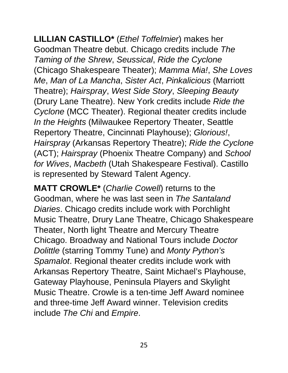**LILLIAN CASTILLO\*** (*Ethel Toffelmier*) makes her Goodman Theatre debut. Chicago credits include *The Taming of the Shrew*, *Seussical*, *Ride the Cyclone*  (Chicago Shakespeare Theater); *Mamma Mia!*, *She Loves Me*, *Man of La Mancha*, *Sister Act*, *Pinkalicious* (Marriott Theatre); *Hairspray*, *West Side Story*, *Sleeping Beauty*  (Drury Lane Theatre). New York credits include *Ride the Cyclone* (MCC Theater). Regional theater credits include *In the Heights* (Milwaukee Repertory Theater, Seattle Repertory Theatre, Cincinnati Playhouse); *Glorious!*, *Hairspray* (Arkansas Repertory Theatre); *Ride the Cyclone*  (ACT); *Hairspray* (Phoenix Theatre Company) and *School for Wives*, *Macbeth* (Utah Shakespeare Festival). Castillo is represented by Steward Talent Agency.

**MATT CROWLE\*** (*Charlie Cowell*) returns to the Goodman, where he was last seen in *The Santaland Diaries*. Chicago credits include work with Porchlight Music Theatre, Drury Lane Theatre, Chicago Shakespeare Theater, North light Theatre and Mercury Theatre Chicago. Broadway and National Tours include *Doctor Dolittle* (starring Tommy Tune) and *Monty Python's Spamalot*. Regional theater credits include work with Arkansas Repertory Theatre, Saint Michael's Playhouse, Gateway Playhouse, Peninsula Players and Skylight Music Theatre. Crowle is a ten-time Jeff Award nominee and three-time Jeff Award winner. Television credits include *The Chi* and *Empire*.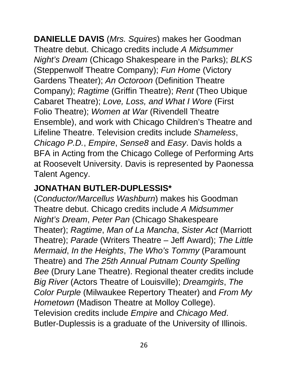**DANIELLE DAVIS** (*Mrs. Squires*) makes her Goodman Theatre debut. Chicago credits include *A Midsummer Night's Dream* (Chicago Shakespeare in the Parks); *BLKS*  (Steppenwolf Theatre Company); *Fun Home* (Victory Gardens Theater); *An Octoroon* (Definition Theatre Company); *Ragtime* (Griffin Theatre); *Rent* (Theo Ubique Cabaret Theatre); *Love, Loss, and What I Wore* (First Folio Theatre); *Women at War* (Rivendell Theatre Ensemble), and work with Chicago Children's Theatre and Lifeline Theatre. Television credits include *Shameless*, *Chicago P.D.*, *Empire*, *Sense8* and *Easy*. Davis holds a BFA in Acting from the Chicago College of Performing Arts at Roosevelt University. Davis is represented by Paonessa Talent Agency.

#### **JONATHAN BUTLER-DUPLESSIS\***

(*Conductor/Marcellus Washburn*) makes his Goodman Theatre debut. Chicago credits include *A Midsummer Night's Dream*, *Peter Pan* (Chicago Shakespeare Theater); *Ragtime*, *Man of La Mancha*, *Sister Act* (Marriott Theatre); *Parade* (Writers Theatre – Jeff Award); *The Little Mermaid*, *In the Heights*, *The Who's Tommy* (Paramount Theatre) and *The 25th Annual Putnam County Spelling Bee* (Drury Lane Theatre). Regional theater credits include *Big River* (Actors Theatre of Louisville); *Dreamgirls*, *The Color Purple* (Milwaukee Repertory Theater) and *From My Hometown* (Madison Theatre at Molloy College). Television credits include *Empire* and *Chicago Med*. Butler-Duplessis is a graduate of the University of Illinois.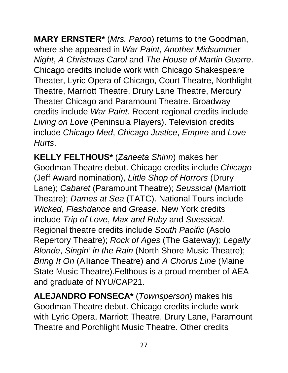**MARY ERNSTER\*** (*Mrs. Paroo*) returns to the Goodman, where she appeared in *War Paint*, *Another Midsummer Night*, *A Christmas Carol* and *The House of Martin Guerre*. Chicago credits include work with Chicago Shakespeare Theater, Lyric Opera of Chicago, Court Theatre, Northlight Theatre, Marriott Theatre, Drury Lane Theatre, Mercury Theater Chicago and Paramount Theatre. Broadway credits include *War Paint*. Recent regional credits include *Living on Love* (Peninsula Players). Television credits include *Chicago Med*, *Chicago Justice*, *Empire* and *Love Hurts*.

**KELLY FELTHOUS\*** (*Zaneeta Shinn*) makes her Goodman Theatre debut. Chicago credits include *Chicago*  (Jeff Award nomination), *Little Shop of Horrors* (Drury Lane); *Cabaret* (Paramount Theatre); *Seussical* (Marriott Theatre); *Dames at Sea* (TATC). National Tours include *Wicked*, *Flashdance* and *Grease*. New York credits include *Trip of Love*, *Max and Ruby* and *Suessical*. Regional theatre credits include *South Pacific* (Asolo Repertory Theatre); *Rock of Ages* (The Gateway); *Legally Blonde*, *Singin' in the Rain* (North Shore Music Theatre); *Bring It On* (Alliance Theatre) and *A Chorus Line* (Maine State Music Theatre).Felthous is a proud member of AEA and graduate of NYU/CAP21.

**ALEJANDRO FONSECA\*** (*Townsperson*) makes his Goodman Theatre debut. Chicago credits include work with Lyric Opera, Marriott Theatre, Drury Lane, Paramount Theatre and Porchlight Music Theatre. Other credits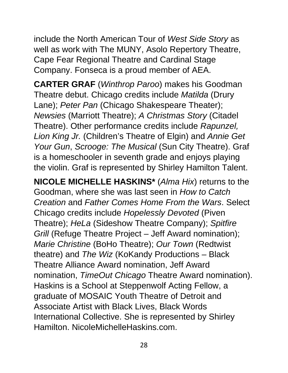include the North American Tour of *West Side Story* as well as work with The MUNY, Asolo Repertory Theatre, Cape Fear Regional Theatre and Cardinal Stage Company. Fonseca is a proud member of AEA.

**CARTER GRAF** (*Winthrop Paroo*) makes his Goodman Theatre debut. Chicago credits include *Matilda* (Drury Lane); *Peter Pan* (Chicago Shakespeare Theater); *Newsies* (Marriott Theatre); *A Christmas Story* (Citadel Theatre). Other performance credits include *Rapunzel, Lion King Jr.* (Children's Theatre of Elgin) and *Annie Get Your Gun, Scrooge: The Musical (Sun City Theatre). Graf* is a homeschooler in seventh grade and enjoys playing the violin. Graf is represented by Shirley Hamilton Talent.

**NICOLE MICHELLE HASKINS\*** (*Alma Hix*) returns to the Goodman, where she was last seen in *How to Catch Creation* and *Father Comes Home From the Wars*. Select Chicago credits include *Hopelessly Devoted* (Piven Theatre); *HeLa* (Sideshow Theatre Company); *Spitfire Grill* (Refuge Theatre Project – Jeff Award nomination); *Marie Christine* (BoHo Theatre); *Our Town* (Redtwist theatre) and *The Wiz* (KoKandy Productions – Black Theatre Alliance Award nomination, Jeff Award nomination, *TimeOut Chicago* Theatre Award nomination). Haskins is a School at Steppenwolf Acting Fellow, a graduate of MOSAIC Youth Theatre of Detroit and Associate Artist with Black Lives, Black Words International Collective. She is represented by Shirley Hamilton. NicoleMichelleHaskins.com.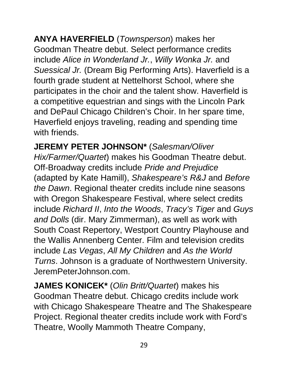**ANYA HAVERFIELD** (*Townsperson*) makes her Goodman Theatre debut. Select performance credits include *Alice in Wonderland Jr.*, *Willy Wonka Jr.* and *Suessical Jr.* (Dream Big Performing Arts). Haverfield is a fourth grade student at Nettelhorst School, where she participates in the choir and the talent show. Haverfield is a competitive equestrian and sings with the Lincoln Park and DePaul Chicago Children's Choir. In her spare time, Haverfield enjoys traveling, reading and spending time with friends.

**JEREMY PETER JOHNSON\*** (*Salesman/Oliver Hix/Farmer/Quartet*) makes his Goodman Theatre debut. Off-Broadway credits include *Pride and Prejudice*  (adapted by Kate Hamill), *Shakespeare's R&J* and *Before the Dawn*. Regional theater credits include nine seasons with Oregon Shakespeare Festival, where select credits include *Richard II*, *Into the Woods*, *Tracy's Tiger* and *Guys and Dolls* (dir. Mary Zimmerman), as well as work with South Coast Repertory, Westport Country Playhouse and the Wallis Annenberg Center. Film and television credits include *Las Vegas*, *All My Children* and *As the World Turns*. Johnson is a graduate of Northwestern University. JeremPeterJohnson.com.

**JAMES KONICEK\*** (*Olin Britt/Quartet*) makes his Goodman Theatre debut. Chicago credits include work with Chicago Shakespeare Theatre and The Shakespeare Project. Regional theater credits include work with Ford's Theatre, Woolly Mammoth Theatre Company,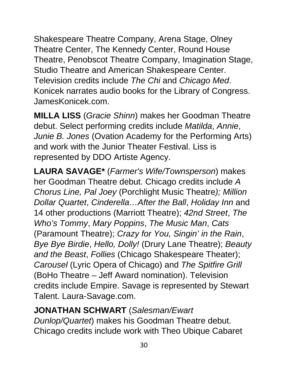Shakespeare Theatre Company, Arena Stage, Olney Theatre Center, The Kennedy Center, Round House Theatre, Penobscot Theatre Company, Imagination Stage, Studio Theatre and American Shakespeare Center. Television credits include *The Chi* and *Chicago Med*. Konicek narrates audio books for the Library of Congress. JamesKonicek.com.

**MILLA LISS** (*Gracie Shinn*) makes her Goodman Theatre debut. Select performing credits include *Matilda*, *Annie*, *Junie B. Jones* (Ovation Academy for the Performing Arts) and work with the Junior Theater Festival. Liss is represented by DDO Artiste Agency.

**LAURA SAVAGE\*** (*Farmer's Wife/Townsperson*) makes her Goodman Theatre debut. Chicago credits include *A Chorus Line, Pal Joey* (Porchlight Music Theatre*); Million Dollar Quartet*, *Cinderella…After the Ball*, *Holiday Inn* and 14 other productions (Marriott Theatre); *42nd Street*, *The Who's Tommy*, *Mary Poppins*, *The Music Man*, *Cats*  (Paramount Theatre); *Crazy for You, Singin' in the Rain*, *Bye Bye Birdie*, *Hello, Dolly!* (Drury Lane Theatre); *Beauty and the Beast*, *Follies* (Chicago Shakespeare Theater); *Carousel* (Lyric Opera of Chicago) and *The Spitfire Grill*  (BoHo Theatre – Jeff Award nomination). Television credits include Empire. Savage is represented by Stewart Talent. Laura-Savage.com.

#### **JONATHAN SCHWART** (*Salesman/Ewart*

*Dunlop/Quartet*) makes his Goodman Theatre debut. Chicago credits include work with Theo Ubique Cabaret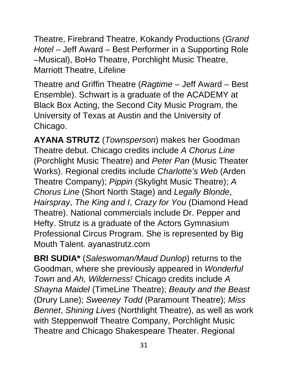Theatre, Firebrand Theatre, Kokandy Productions (*Grand Hotel –* Jeff Award – Best Performer in a Supporting Role –Musical), BoHo Theatre, Porchlight Music Theatre, Marriott Theatre, Lifeline

Theatre and Griffin Theatre (*Ragtime* – Jeff Award – Best Ensemble). Schwart is a graduate of the ACADEMY at Black Box Acting, the Second City Music Program, the University of Texas at Austin and the University of Chicago.

**AYANA STRUTZ** (*Townsperson*) makes her Goodman Theatre debut. Chicago credits include *A Chorus Line*  (Porchlight Music Theatre) and *Peter Pan* (Music Theater Works). Regional credits include *Charlotte's Web* (Arden Theatre Company); *Pippin* (Skylight Music Theatre); *A Chorus Line* (Short North Stage) and *Legally Blonde*, *Hairspray*, *The King and I*, *Crazy for You* (Diamond Head Theatre). National commercials include Dr. Pepper and Hefty. Strutz is a graduate of the Actors Gymnasium Professional Circus Program. She is represented by Big Mouth Talent. ayanastrutz.com

**BRI SUDIA\*** (*Saleswoman/Maud Dunlop*) returns to the Goodman, where she previously appeared in *Wonderful Town* and *Ah, Wilderness!* Chicago credits include *A Shayna Maidel* (TimeLine Theatre); *Beauty and the Beast*  (Drury Lane); *Sweeney Todd* (Paramount Theatre); *Miss Bennet*, *Shining Lives* (Northlight Theatre), as well as work with Steppenwolf Theatre Company, Porchlight Music Theatre and Chicago Shakespeare Theater. Regional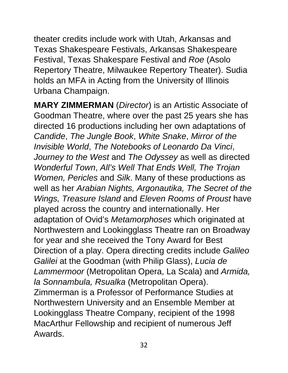theater credits include work with Utah, Arkansas and Texas Shakespeare Festivals, Arkansas Shakespeare Festival, Texas Shakespare Festival and *Roe* (Asolo Repertory Theatre, Milwaukee Repertory Theater). Sudia holds an MFA in Acting from the University of Illinois Urbana Champaign.

**MARY ZIMMERMAN** (*Director*) is an Artistic Associate of Goodman Theatre, where over the past 25 years she has directed 16 productions including her own adaptations of *Candide*, *The Jungle Book*, *White Snake*, *Mirror of the Invisible World*, *The Notebooks of Leonardo Da Vinci*, *Journey to the West* and *The Odyssey* as well as directed *Wonderful Town*, *All's Well That Ends Well, The Trojan Women, Pericles* and *Silk*. Many of these productions as well as her *Arabian Nights, Argonautika, The Secret of the Wings, Treasure Island* and *Eleven Rooms of Proust* have played across the country and internationally. Her adaptation of Ovid's *Metamorphoses* which originated at Northwestern and Lookingglass Theatre ran on Broadway for year and she received the Tony Award for Best Direction of a play. Opera directing credits include *Galileo Galilei* at the Goodman (with Philip Glass), *Lucia de Lammermoor* (Metropolitan Opera, La Scala) and *Armida, la Sonnambula, Rsualka* (Metropolitan Opera). Zimmerman is a Professor of Performance Studies at Northwestern University and an Ensemble Member at Lookingglass Theatre Company, recipient of the 1998 MacArthur Fellowship and recipient of numerous Jeff Awards.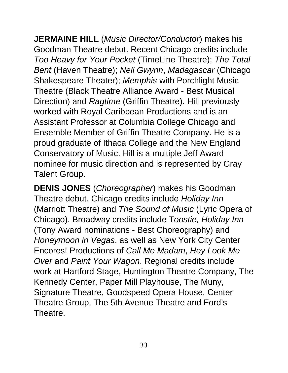**JERMAINE HILL** (*Music Director/Conductor*) makes his Goodman Theatre debut. Recent Chicago credits include *Too Heavy for Your Pocket* (TimeLine Theatre); *The Total Bent* (Haven Theatre); *Nell Gwynn*, *Madagascar* (Chicago Shakespeare Theater); *Memphis* with Porchlight Music Theatre (Black Theatre Alliance Award - Best Musical Direction) and *Ragtime* (Griffin Theatre). Hill previously worked with Royal Caribbean Productions and is an Assistant Professor at Columbia College Chicago and Ensemble Member of Griffin Theatre Company. He is a proud graduate of Ithaca College and the New England Conservatory of Music. Hill is a multiple Jeff Award nominee for music direction and is represented by Gray Talent Group.

**DENIS JONES** (*Choreographer*) makes his Goodman Theatre debut. Chicago credits include *Holiday Inn*  (Marriott Theatre) and *The Sound of Music* (Lyric Opera of Chicago). Broadway credits include T*oostie, Holiday Inn*  (Tony Award nominations - Best Choreography) and *Honeymoon in Vegas*, as well as New York City Center Encores! Productions of *Call Me Madam*, *Hey Look Me Over* and *Paint Your Wagon*. Regional credits include work at Hartford Stage, Huntington Theatre Company, The Kennedy Center, Paper Mill Playhouse, The Muny, Signature Theatre, Goodspeed Opera House, Center Theatre Group, The 5th Avenue Theatre and Ford's Theatre.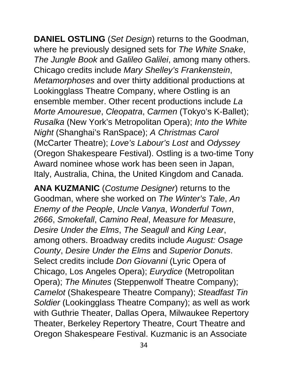**DANIEL OSTLING** (*Set Design*) returns to the Goodman, where he previously designed sets for *The White Snake*, *The Jungle Book* and *Galileo Galilei*, among many others. Chicago credits include *Mary Shelley's Frankenstein*, *Metamorphoses* and over thirty additional productions at Lookingglass Theatre Company, where Ostling is an ensemble member. Other recent productions include *La Morte Amouresue*, *Cleopatra*, *Carmen* (Tokyo's K-Ballet); *Rusalka* (New York's Metropolitan Opera); *Into the White Night* (Shanghai's RanSpace); *A Christmas Carol* (McCarter Theatre); *Love's Labour's Lost* and *Odyssey*  (Oregon Shakespeare Festival). Ostling is a two-time Tony Award nominee whose work has been seen in Japan, Italy, Australia, China, the United Kingdom and Canada.

**ANA KUZMANIC** (*Costume Designer*) returns to the Goodman, where she worked on *The Winter's Tale*, *An Enemy of the People*, *Uncle Vanya*, *Wonderful Town*, *2666*, *Smokefall*, *Camino Real*, *Measure for Measure*, *Desire Under the Elms*, *The Seagull* and *King Lear*, among others. Broadway credits include *August: Osage County*, *Desire Under the Elms* and *Superior Donuts*. Select credits include *Don Giovanni* (Lyric Opera of Chicago, Los Angeles Opera); *Eurydice* (Metropolitan Opera); *The Minutes* (Steppenwolf Theatre Company); *Camelot* (Shakespeare Theatre Company); *Steadfast Tin Soldier* (Lookingglass Theatre Company); as well as work with Guthrie Theater, Dallas Opera, Milwaukee Repertory Theater, Berkeley Repertory Theatre, Court Theatre and Oregon Shakespeare Festival. Kuzmanic is an Associate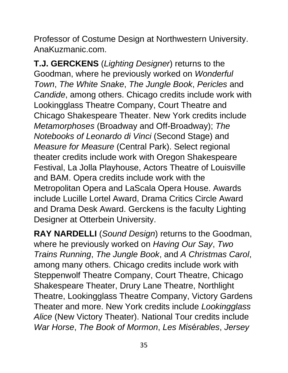Professor of Costume Design at Northwestern University. AnaKuzmanic.com.

**T.J. GERCKENS** (*Lighting Designer*) returns to the Goodman, where he previously worked on *Wonderful Town*, *The White Snake*, *The Jungle Book*, *Pericles* and *Candide*, among others. Chicago credits include work with Lookingglass Theatre Company, Court Theatre and Chicago Shakespeare Theater. New York credits include *Metamorphoses* (Broadway and Off-Broadway); *The Notebooks of Leonardo di Vinci* (Second Stage) and *Measure for Measure* (Central Park). Select regional theater credits include work with Oregon Shakespeare Festival, La Jolla Playhouse, Actors Theatre of Louisville and BAM. Opera credits include work with the Metropolitan Opera and LaScala Opera House. Awards include Lucille Lortel Award, Drama Critics Circle Award and Drama Desk Award. Gerckens is the faculty Lighting Designer at Otterbein University.

**RAY NARDELLI** (*Sound Design*) returns to the Goodman, where he previously worked on *Having Our Say*, *Two Trains Running*, *The Jungle Book*, and *A Christmas Carol*, among many others. Chicago credits include work with Steppenwolf Theatre Company, Court Theatre, Chicago Shakespeare Theater, Drury Lane Theatre, Northlight Theatre, Lookingglass Theatre Company, Victory Gardens Theater and more. New York credits include *Lookingglass Alice* (New Victory Theater). National Tour credits include *War Horse*, *The Book of Mormon*, *Les Mis*é*rables*, *Jersey*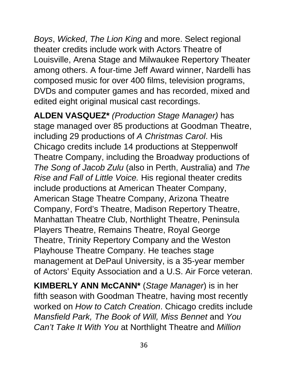*Boys*, *Wicked*, *The Lion King* and more. Select regional theater credits include work with Actors Theatre of Louisville, Arena Stage and Milwaukee Repertory Theater among others. A four-time Jeff Award winner, Nardelli has composed music for over 400 films, television programs, DVDs and computer games and has recorded, mixed and edited eight original musical cast recordings.

**ALDEN VASQUEZ\*** *(Production Stage Manager)* has stage managed over 85 productions at Goodman Theatre, including 29 productions of *A Christmas Carol*. His Chicago credits include 14 productions at Steppenwolf Theatre Company, including the Broadway productions of *The Song of Jacob Zulu* (also in Perth, Australia) and *The Rise and Fall of Little Voice.* His regional theater credits include productions at American Theater Company, American Stage Theatre Company, Arizona Theatre Company, Ford's Theatre, Madison Repertory Theatre, Manhattan Theatre Club, Northlight Theatre, Peninsula Players Theatre, Remains Theatre, Royal George Theatre, Trinity Repertory Company and the Weston Playhouse Theatre Company. He teaches stage management at DePaul University, is a 35-year member of Actors' Equity Association and a U.S. Air Force veteran.

**KIMBERLY ANN McCANN\*** (*Stage Manager*) is in her fifth season with Goodman Theatre, having most recently worked on *How to Catch Creation*. Chicago credits include *Mansfield Park, The Book of Will, Miss Bennet* and *You Can't Take It With You* at Northlight Theatre and *Million*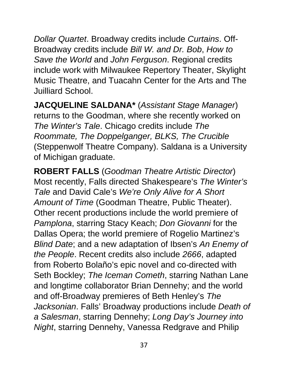*Dollar Quartet*. Broadway credits include *Curtains*. Off-Broadway credits include *Bill W. and Dr. Bob*, *How to Save the World* and *John Ferguson*. Regional credits include work with Milwaukee Repertory Theater, Skylight Music Theatre, and Tuacahn Center for the Arts and The Juilliard School.

**JACQUELINE SALDANA\*** (*Assistant Stage Manager*) returns to the Goodman, where she recently worked on *The Winter's Tale*. Chicago credits include *The Roommate, The Doppelganger, BLKS, The Crucible*  (Steppenwolf Theatre Company). Saldana is a University of Michigan graduate.

**ROBERT FALLS** (*Goodman Theatre Artistic Director*) Most recently, Falls directed Shakespeare's *The Winter's Tale* and David Cale's *We're Only Alive for A Short Amount of Time* (Goodman Theatre, Public Theater). Other recent productions include the world premiere of *Pamplona*, starring Stacy Keach; *Don Giovanni* for the Dallas Opera; the world premiere of Rogelio Martinez's *Blind Date*; and a new adaptation of Ibsen's *An Enemy of the People*. Recent credits also include *2666*, adapted from Roberto Bolaño's epic novel and co-directed with Seth Bockley; *The Iceman Cometh*, starring Nathan Lane and longtime collaborator Brian Dennehy; and the world and off-Broadway premieres of Beth Henley's *The Jacksonian*. Falls' Broadway productions include *Death of a Salesman*, starring Dennehy; *Long Day's Journey into Night*, starring Dennehy, Vanessa Redgrave and Philip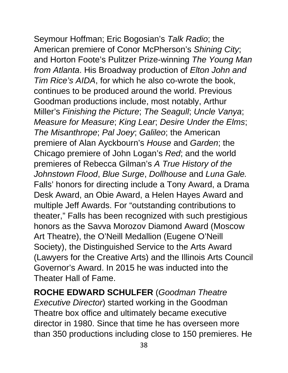Seymour Hoffman; Eric Bogosian's *Talk Radio*; the American premiere of Conor McPherson's *Shining City*; and Horton Foote's Pulitzer Prize-winning *The Young Man from Atlanta*. His Broadway production of *Elton John and Tim Rice's AIDA*, for which he also co-wrote the book, continues to be produced around the world. Previous Goodman productions include, most notably, Arthur Miller's *Finishing the Picture*; *The Seagull*; *Uncle Vanya*; *Measure for Measure*; *King Lear*; *Desire Under the Elms*; *The Misanthrope*; *Pal Joey*; *Galileo*; the American premiere of Alan Ayckbourn's *House* and *Garden*; the Chicago premiere of John Logan's *Red*; and the world premieres of Rebecca Gilman's *A True History of the Johnstown Flood*, *Blue Surge*, *Dollhouse* and *Luna Gale.*  Falls' honors for directing include a Tony Award, a Drama Desk Award, an Obie Award, a Helen Hayes Award and multiple Jeff Awards. For "outstanding contributions to theater," Falls has been recognized with such prestigious honors as the Savva Morozov Diamond Award (Moscow Art Theatre), the O'Neill Medallion (Eugene O'Neill Society), the Distinguished Service to the Arts Award (Lawyers for the Creative Arts) and the Illinois Arts Council

Governor's Award. In 2015 he was inducted into the Theater Hall of Fame.

**ROCHE EDWARD SCHULFER** (*Goodman Theatre Executive Director*) started working in the Goodman Theatre box office and ultimately became executive director in 1980. Since that time he has overseen more than 350 productions including close to 150 premieres. He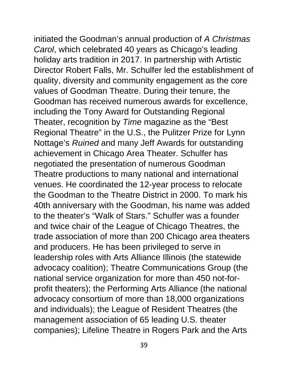initiated the Goodman's annual production of *A Christmas Carol*, which celebrated 40 years as Chicago's leading

holiday arts tradition in 2017. In partnership with Artistic Director Robert Falls, Mr. Schulfer led the establishment of quality, diversity and community engagement as the core values of Goodman Theatre. During their tenure, the Goodman has received numerous awards for excellence, including the Tony Award for Outstanding Regional Theater, recognition by *Time* magazine as the "Best Regional Theatre" in the U.S., the Pulitzer Prize for Lynn Nottage's *Ruined* and many Jeff Awards for outstanding achievement in Chicago Area Theater. Schulfer has negotiated the presentation of numerous Goodman Theatre productions to many national and international venues. He coordinated the 12-year process to relocate the Goodman to the Theatre District in 2000. To mark his 40th anniversary with the Goodman, his name was added to the theater's "Walk of Stars." Schulfer was a founder and twice chair of the League of Chicago Theatres, the trade association of more than 200 Chicago area theaters and producers. He has been privileged to serve in leadership roles with Arts Alliance Illinois (the statewide advocacy coalition); Theatre Communications Group (the national service organization for more than 450 not-forprofit theaters); the Performing Arts Alliance (the national advocacy consortium of more than 18,000 organizations and individuals); the League of Resident Theatres (the management association of 65 leading U.S. theater companies); Lifeline Theatre in Rogers Park and the Arts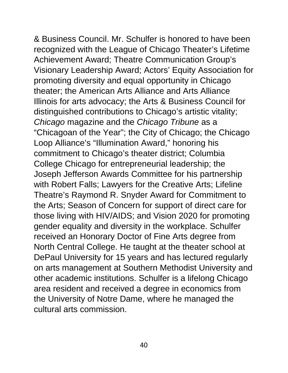& Business Council. Mr. Schulfer is honored to have been recognized with the League of Chicago Theater's Lifetime Achievement Award; Theatre Communication Group's Visionary Leadership Award; Actors' Equity Association for promoting diversity and equal opportunity in Chicago theater; the American Arts Alliance and Arts Alliance Illinois for arts advocacy; the Arts & Business Council for distinguished contributions to Chicago's artistic vitality; *Chicago* magazine and the *Chicago Tribune* as a "Chicagoan of the Year"; the City of Chicago; the Chicago Loop Alliance's "Illumination Award," honoring his commitment to Chicago's theater district; Columbia College Chicago for entrepreneurial leadership; the Joseph Jefferson Awards Committee for his partnership with Robert Falls; Lawyers for the Creative Arts; Lifeline Theatre's Raymond R. Snyder Award for Commitment to the Arts; Season of Concern for support of direct care for those living with HIV/AIDS; and Vision 2020 for promoting gender equality and diversity in the workplace. Schulfer received an Honorary Doctor of Fine Arts degree from North Central College. He taught at the theater school at DePaul University for 15 years and has lectured regularly on arts management at Southern Methodist University and other academic institutions. Schulfer is a lifelong Chicago area resident and received a degree in economics from the University of Notre Dame, where he managed the cultural arts commission.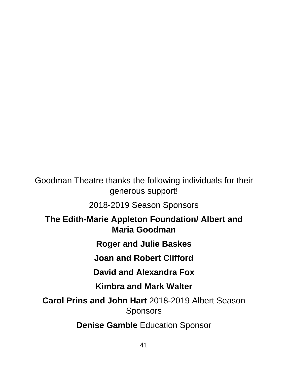Goodman Theatre thanks the following individuals for their generous support!

2018-2019 Season Sponsors

**The Edith-Marie Appleton Foundation/ Albert and Maria Goodman**

**Roger and Julie Baskes**

**Joan and Robert Clifford**

**David and Alexandra Fox**

**Kimbra and Mark Walter** 

**Carol Prins and John Hart** 2018-2019 Albert Season **Sponsors** 

**Denise Gamble** Education Sponsor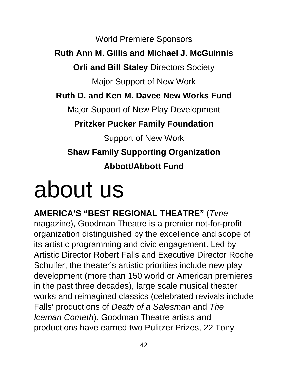World Premiere Sponsors

#### **Ruth Ann M. Gillis and Michael J. McGuinnis**

**Orli and Bill Staley** Directors Society

Major Support of New Work

**Ruth D. and Ken M. Davee New Works Fund** 

Major Support of New Play Development

**Pritzker Pucker Family Foundation** 

Support of New Work **Shaw Family Supporting Organization Abbott/Abbott Fund**

## about us

**AMERICA'S "BEST REGIONAL THEATRE"** (*Time*  magazine), Goodman Theatre is a premier not-for-profit organization distinguished by the excellence and scope of its artistic programming and civic engagement. Led by Artistic Director Robert Falls and Executive Director Roche Schulfer, the theater's artistic priorities include new play development (more than 150 world or American premieres in the past three decades), large scale musical theater works and reimagined classics (celebrated revivals include Falls' productions of *Death of a Salesman* and *The Iceman Cometh*). Goodman Theatre artists and productions have earned two Pulitzer Prizes, 22 Tony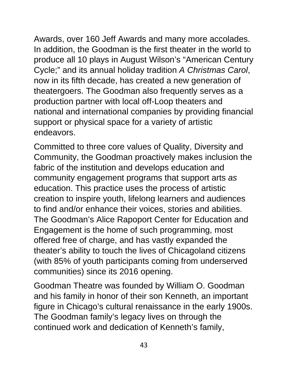Awards, over 160 Jeff Awards and many more accolades. In addition, the Goodman is the first theater in the world to produce all 10 plays in August Wilson's "American Century Cycle;" and its annual holiday tradition *A Christmas Carol*, now in its fifth decade, has created a new generation of theatergoers. The Goodman also frequently serves as a production partner with local off-Loop theaters and national and international companies by providing financial support or physical space for a variety of artistic endeavors.

Committed to three core values of Quality, Diversity and Community, the Goodman proactively makes inclusion the fabric of the institution and develops education and community engagement programs that support arts *as*  education. This practice uses the process of artistic creation to inspire youth, lifelong learners and audiences to find and/or enhance their voices, stories and abilities. The Goodman's Alice Rapoport Center for Education and Engagement is the home of such programming, most offered free of charge, and has vastly expanded the theater's ability to touch the lives of Chicagoland citizens (with 85% of youth participants coming from underserved communities) since its 2016 opening.

Goodman Theatre was founded by William O. Goodman and his family in honor of their son Kenneth, an important figure in Chicago's cultural renaissance in the early 1900s. The Goodman family's legacy lives on through the continued work and dedication of Kenneth's family,